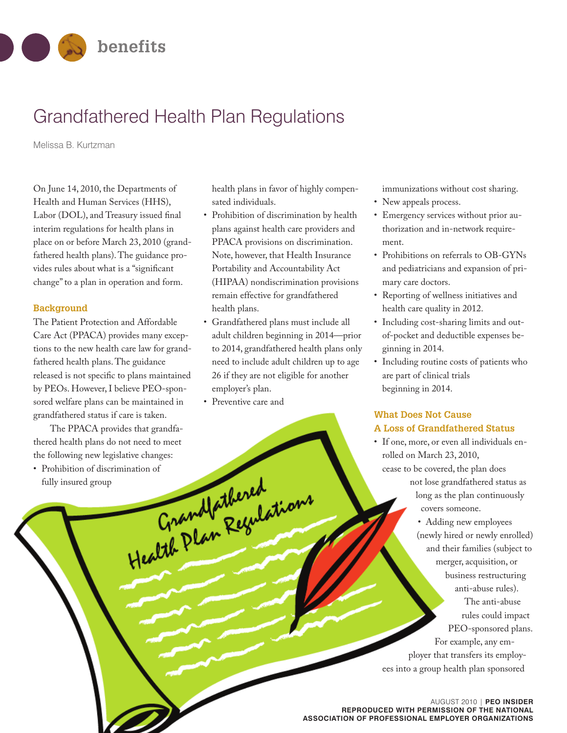

# Grandfathered Health Plan Regulations

Melissa B. Kurtzman

On June 14, 2010, the Departments of Health and Human Services (HHS), Labor (DOL), and Treasury issued final interim regulations for health plans in place on or before March 23, 2010 (grandfathered health plans).The guidance provides rules about what is a "significant change"to a plan in operation and form.

#### **Background**

The Patient Protection and Affordable Care Act (PPACA) provides many exceptions to the new health care law for grandfathered health plans.The guidance released is not specific to plans maintained by PEOs. However,I believe PEO-sponsored welfare plans can be maintained in grandfathered status if care is taken.

The PPACA provides that grandfathered health plans do not need to meet

the following new legislative changes:<br>
Prohibition of discrimination of<br>
fully insured group<br>
Grandfathered<br>
Grandfathered<br>
Regulations • Prohibition of discrimination of fully insured group

health plans in favor of highly compensated individuals.

- Prohibition of discrimination by health plans against health care providers and PPACA provisions on discrimination. Note, however, that Health Insurance Portability and Accountability Act (HIPAA) nondiscrimination provisions remain effective for grandfathered health plans.
- Grandfathered plans must include all adult children beginning in 2014—prior to 2014, grandfathered health plans only need to include adult children up to age 26 if they are not eligible for another employer's plan.
- Preventive care and

immunizations without cost sharing.

- New appeals process.
- Emergency services without prior authorization and in-network requirement.
- Prohibitions on referrals to OB-GYNs and pediatricians and expansion of primary care doctors.
- Reporting of wellness initiatives and health care quality in 2012.
- Including cost-sharing limits and outof-pocket and deductible expenses beginning in 2014.
- Including routine costs of patients who are part of clinical trials beginning in 2014.

# **What Does Not Cause A Loss of Grandfathered Status**

• If one, more, or even all individuals enrolled on March 23, 2010, cease to be covered, the plan does not lose grandfathered status as long as the plan continuously covers someone.

• Adding new employees (newly hired or newly enrolled) and their families (subject to merger, acquisition, or business restructuring anti-abuse rules). The anti-abuse rules could impact PEO-sponsored plans. For example, any employer that transfers its employees into a group health plan sponsored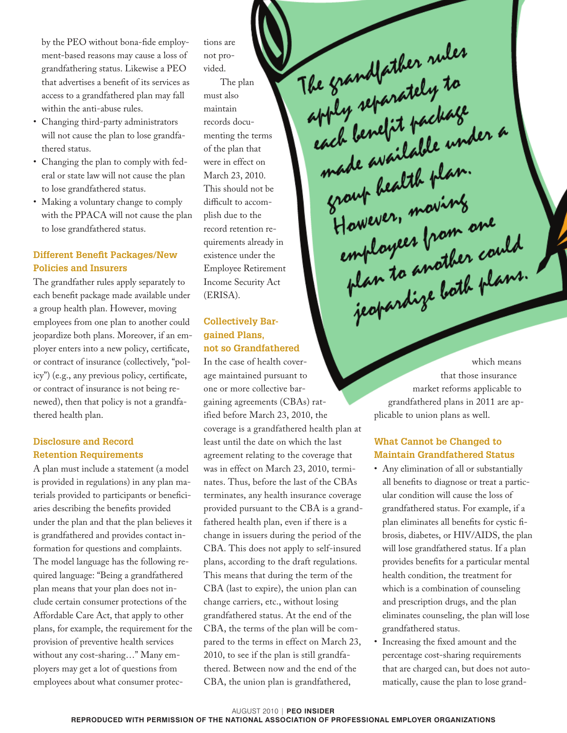by the PEO without bona-fide employment-based reasons may cause a loss of grandfathering status. Likewise a PEO that advertises a benefit of its services as access to a grandfathered plan may fall within the anti-abuse rules.

- Changing third-party administrators will not cause the plan to lose grandfathered status.
- Changing the plan to comply with federal or state law will not cause the plan to lose grandfathered status.
- Making a voluntary change to comply with the PPACA will not cause the plan to lose grandfathered status.

# **Different Benefit Packages/New Policies and Insurers**

The grandfather rules apply separately to each benefit package made available under a group health plan. However, moving employees from one plan to another could jeopardize both plans. Moreover, if an employer enters into a new policy, certificate, or contract of insurance (collectively, "policy") (e.g., any previous policy, certificate, or contract of insurance is not being renewed), then that policy is not a grandfathered health plan.

#### **Disclosure and Record Retention Requirements**

A plan must include a statement (a model is provided in regulations) in any plan materials provided to participants or beneficiaries describing the benefits provided under the plan and that the plan believes it is grandfathered and provides contact information for questions and complaints. The model language has the following required language: "Being a grandfathered plan means that your plan does not include certain consumer protections of the Affordable Care Act, that apply to other plans, for example, the requirement for the provision of preventive health services without any cost-sharing…" Many employers may get a lot of questions from employees about what consumer protections are not provided.

The plan must also maintain records documenting the terms of the plan that were in effect on March 23, 2010. This should not be difficult to accomplish due to the record retention requirements already in existence under the Employee Retirement Income Security Act (ERISA).

### **Collectively Bargained Plans, not so Grandfathered**

In the case of health coverage maintained pursuant to one or more collective bargaining agreements (CBAs) ratified before March 23, 2010, the coverage is a grandfathered health plan at least until the date on which the last agreement relating to the coverage that was in effect on March 23, 2010, terminates. Thus, before the last of the CBAs terminates, any health insurance coverage provided pursuant to the CBA is a grandfathered health plan, even if there is a change in issuers during the period of the CBA. This does not apply to self-insured plans, according to the draft regulations. This means that during the term of the CBA (last to expire), the union plan can change carriers, etc., without losing grandfathered status. At the end of the CBA, the terms of the plan will be compared to the terms in effect on March 23, 2010, to see if the plan is still grandfathered. Between now and the end of the CBA, the union plan is grandfathered,

which means that those insurance market reforms applicable to grandfathered plans in 2011 are applicable to union plans as well.

The grandfather rules<br>apply separately to<br>each benefit package

pper condit package<br>each benefit package<br>made available under a

However, moving<br>employees from one

towever, "I from one<br>employees from one<br>plan to another could<br>jeopardize both plans.

made available ver.<br>group bealth plan.

group bealth proving

### **What Cannot be Changed to Maintain Grandfathered Status**

- Any elimination of all or substantially all benefits to diagnose or treat a particular condition will cause the loss of grandfathered status. For example, if a plan eliminates all benefits for cystic fibrosis, diabetes, or HIV/AIDS, the plan will lose grandfathered status. If a plan provides benefits for a particular mental health condition, the treatment for which is a combination of counseling and prescription drugs, and the plan eliminates counseling, the plan will lose grandfathered status.
- Increasing the fixed amount and the percentage cost-sharing requirements that are charged can, but does not automatically, cause the plan to lose grand-

AUGUST 2010 | **PEO INSIDER REPRODUCED WITH PERMISSION OF THE NATIONAL ASSOCIATION OF PROFESSIONAL EMPLOYER ORGANIZATIONS**